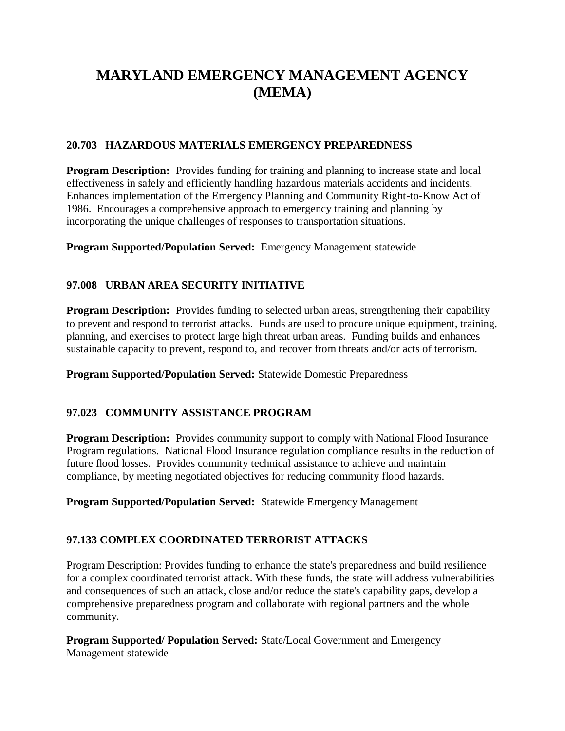# **MARYLAND EMERGENCY MANAGEMENT AGENCY (MEMA)**

### **20.703 HAZARDOUS MATERIALS EMERGENCY PREPAREDNESS**

**Program Description:** Provides funding for training and planning to increase state and local effectiveness in safely and efficiently handling hazardous materials accidents and incidents. Enhances implementation of the Emergency Planning and Community Right-to-Know Act of 1986. Encourages a comprehensive approach to emergency training and planning by incorporating the unique challenges of responses to transportation situations.

**Program Supported/Population Served:** Emergency Management statewide

# **97.008 URBAN AREA SECURITY INITIATIVE**

**Program Description:** Provides funding to selected urban areas, strengthening their capability to prevent and respond to terrorist attacks. Funds are used to procure unique equipment, training, planning, and exercises to protect large high threat urban areas. Funding builds and enhances sustainable capacity to prevent, respond to, and recover from threats and/or acts of terrorism.

**Program Supported/Population Served:** Statewide Domestic Preparedness

# **97.023 COMMUNITY ASSISTANCE PROGRAM**

**Program Description:** Provides community support to comply with National Flood Insurance Program regulations. National Flood Insurance regulation compliance results in the reduction of future flood losses. Provides community technical assistance to achieve and maintain compliance, by meeting negotiated objectives for reducing community flood hazards.

**Program Supported/Population Served:** Statewide Emergency Management

# **97.133 COMPLEX COORDINATED TERRORIST ATTACKS**

Program Description: Provides funding to enhance the state's preparedness and build resilience for a complex coordinated terrorist attack. With these funds, the state will address vulnerabilities and consequences of such an attack, close and/or reduce the state's capability gaps, develop a comprehensive preparedness program and collaborate with regional partners and the whole community.

**Program Supported/ Population Served:** State/Local Government and Emergency Management statewide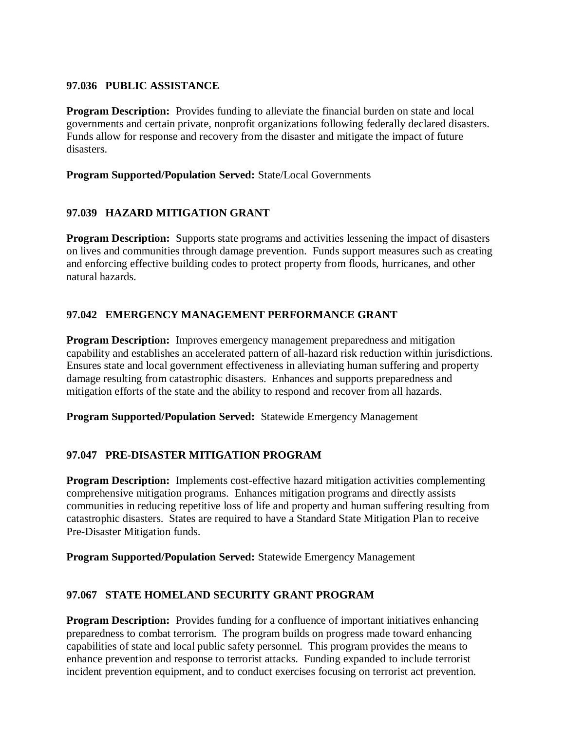#### **97.036 PUBLIC ASSISTANCE**

**Program Description:** Provides funding to alleviate the financial burden on state and local governments and certain private, nonprofit organizations following federally declared disasters. Funds allow for response and recovery from the disaster and mitigate the impact of future disasters.

**Program Supported/Population Served:** State/Local Governments

# **97.039 HAZARD MITIGATION GRANT**

**Program Description:** Supports state programs and activities lessening the impact of disasters on lives and communities through damage prevention. Funds support measures such as creating and enforcing effective building codes to protect property from floods, hurricanes, and other natural hazards.

# **97.042 EMERGENCY MANAGEMENT PERFORMANCE GRANT**

**Program Description:** Improves emergency management preparedness and mitigation capability and establishes an accelerated pattern of all-hazard risk reduction within jurisdictions. Ensures state and local government effectiveness in alleviating human suffering and property damage resulting from catastrophic disasters. Enhances and supports preparedness and mitigation efforts of the state and the ability to respond and recover from all hazards.

**Program Supported/Population Served:** Statewide Emergency Management

#### **97.047 PRE-DISASTER MITIGATION PROGRAM**

**Program Description:** Implements cost-effective hazard mitigation activities complementing comprehensive mitigation programs. Enhances mitigation programs and directly assists communities in reducing repetitive loss of life and property and human suffering resulting from catastrophic disasters. States are required to have a Standard State Mitigation Plan to receive Pre-Disaster Mitigation funds.

**Program Supported/Population Served:** Statewide Emergency Management

#### **97.067 STATE HOMELAND SECURITY GRANT PROGRAM**

**Program Description:** Provides funding for a confluence of important initiatives enhancing preparedness to combat terrorism. The program builds on progress made toward enhancing capabilities of state and local public safety personnel. This program provides the means to enhance prevention and response to terrorist attacks. Funding expanded to include terrorist incident prevention equipment, and to conduct exercises focusing on terrorist act prevention.